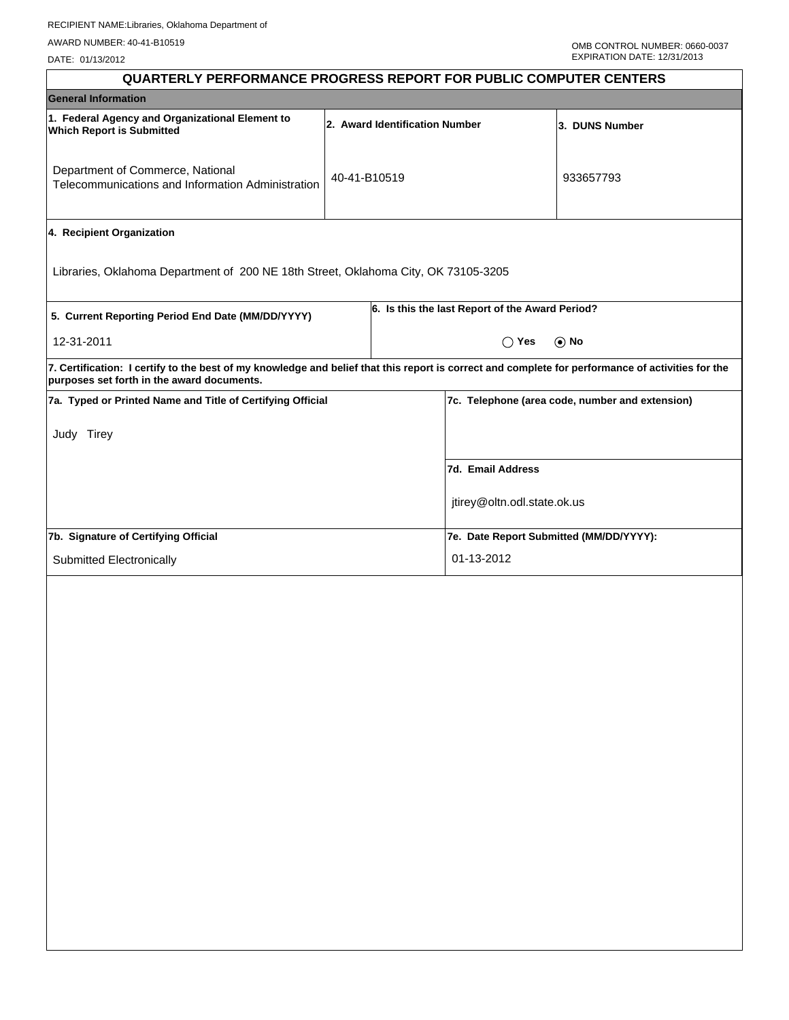DATE: 01/13/2012

| <b>QUARTERLY PERFORMANCE PROGRESS REPORT FOR PUBLIC COMPUTER CENTERS</b>                                                                                                                        |                                |                |                                                 |            |  |
|-------------------------------------------------------------------------------------------------------------------------------------------------------------------------------------------------|--------------------------------|----------------|-------------------------------------------------|------------|--|
| <b>General Information</b>                                                                                                                                                                      |                                |                |                                                 |            |  |
| 1. Federal Agency and Organizational Element to<br><b>Which Report is Submitted</b>                                                                                                             | 2. Award Identification Number | 3. DUNS Number |                                                 |            |  |
| Department of Commerce, National<br>Telecommunications and Information Administration                                                                                                           | 40-41-B10519                   |                |                                                 | 933657793  |  |
| 4. Recipient Organization                                                                                                                                                                       |                                |                |                                                 |            |  |
| Libraries, Oklahoma Department of 200 NE 18th Street, Oklahoma City, OK 73105-3205                                                                                                              |                                |                |                                                 |            |  |
| 5. Current Reporting Period End Date (MM/DD/YYYY)                                                                                                                                               |                                |                | 6. Is this the last Report of the Award Period? |            |  |
| 12-31-2011                                                                                                                                                                                      |                                |                | $\bigcap$ Yes                                   | $\odot$ No |  |
| 7. Certification: I certify to the best of my knowledge and belief that this report is correct and complete for performance of activities for the<br>purposes set forth in the award documents. |                                |                |                                                 |            |  |
| 7a. Typed or Printed Name and Title of Certifying Official                                                                                                                                      |                                |                | 7c. Telephone (area code, number and extension) |            |  |
| Judy Tirey                                                                                                                                                                                      |                                |                |                                                 |            |  |
|                                                                                                                                                                                                 |                                |                | 7d. Email Address                               |            |  |
|                                                                                                                                                                                                 |                                |                | jtirey@oltn.odl.state.ok.us                     |            |  |
| 7b. Signature of Certifying Official                                                                                                                                                            |                                |                | 7e. Date Report Submitted (MM/DD/YYYY):         |            |  |
| Submitted Electronically                                                                                                                                                                        |                                |                | 01-13-2012                                      |            |  |
|                                                                                                                                                                                                 |                                |                |                                                 |            |  |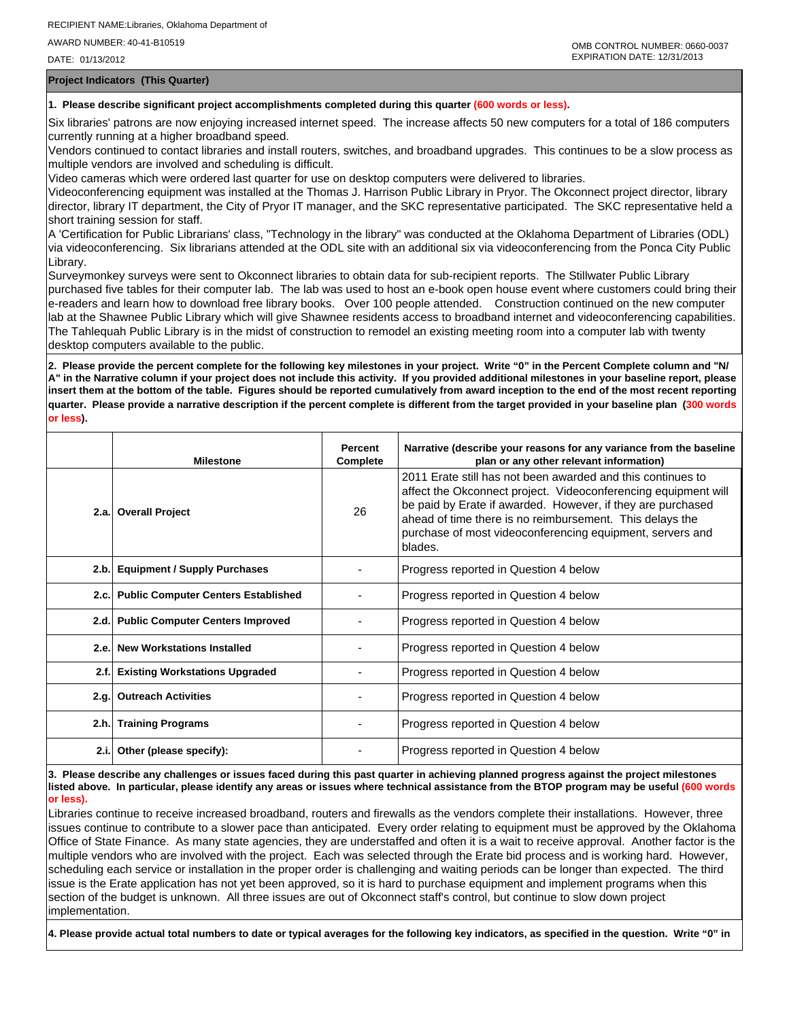DATE: 01/13/2012

**Project Indicators (This Quarter)**

## **1. Please describe significant project accomplishments completed during this quarter (600 words or less).**

Six libraries' patrons are now enjoying increased internet speed. The increase affects 50 new computers for a total of 186 computers currently running at a higher broadband speed.

Vendors continued to contact libraries and install routers, switches, and broadband upgrades. This continues to be a slow process as multiple vendors are involved and scheduling is difficult.

Video cameras which were ordered last quarter for use on desktop computers were delivered to libraries.

Videoconferencing equipment was installed at the Thomas J. Harrison Public Library in Pryor. The Okconnect project director, library director, library IT department, the City of Pryor IT manager, and the SKC representative participated. The SKC representative held a short training session for staff.

A 'Certification for Public Librarians' class, "Technology in the library" was conducted at the Oklahoma Department of Libraries (ODL) via videoconferencing. Six librarians attended at the ODL site with an additional six via videoconferencing from the Ponca City Public Library.

Surveymonkey surveys were sent to Okconnect libraries to obtain data for sub-recipient reports. The Stillwater Public Library purchased five tables for their computer lab. The lab was used to host an e-book open house event where customers could bring their e-readers and learn how to download free library books. Over 100 people attended. Construction continued on the new computer lab at the Shawnee Public Library which will give Shawnee residents access to broadband internet and videoconferencing capabilities. The Tahlequah Public Library is in the midst of construction to remodel an existing meeting room into a computer lab with twenty desktop computers available to the public.

**2. Please provide the percent complete for the following key milestones in your project. Write "0" in the Percent Complete column and "N/ A" in the Narrative column if your project does not include this activity. If you provided additional milestones in your baseline report, please insert them at the bottom of the table. Figures should be reported cumulatively from award inception to the end of the most recent reporting quarter. Please provide a narrative description if the percent complete is different from the target provided in your baseline plan (300 words or less).**

|      | <b>Milestone</b>                         | <b>Percent</b><br>Complete | Narrative (describe your reasons for any variance from the baseline<br>plan or any other relevant information)                                                                                                                                                                                                                   |
|------|------------------------------------------|----------------------------|----------------------------------------------------------------------------------------------------------------------------------------------------------------------------------------------------------------------------------------------------------------------------------------------------------------------------------|
|      | 2.a. Overall Project                     | 26                         | 2011 Erate still has not been awarded and this continues to<br>affect the Okconnect project. Videoconferencing equipment will<br>be paid by Erate if awarded. However, if they are purchased<br>ahead of time there is no reimbursement. This delays the<br>purchase of most videoconferencing equipment, servers and<br>blades. |
|      | 2.b. Equipment / Supply Purchases        |                            | Progress reported in Question 4 below                                                                                                                                                                                                                                                                                            |
|      | 2.c. Public Computer Centers Established |                            | Progress reported in Question 4 below                                                                                                                                                                                                                                                                                            |
|      | 2.d. Public Computer Centers Improved    |                            | Progress reported in Question 4 below                                                                                                                                                                                                                                                                                            |
| 2.e. | <b>New Workstations Installed</b>        |                            | Progress reported in Question 4 below                                                                                                                                                                                                                                                                                            |
|      | 2.f. Existing Workstations Upgraded      |                            | Progress reported in Question 4 below                                                                                                                                                                                                                                                                                            |
|      | 2.g. Outreach Activities                 |                            | Progress reported in Question 4 below                                                                                                                                                                                                                                                                                            |
|      | 2.h. Training Programs                   |                            | Progress reported in Question 4 below                                                                                                                                                                                                                                                                                            |
|      | 2.i. Other (please specify):             |                            | Progress reported in Question 4 below                                                                                                                                                                                                                                                                                            |

**3. Please describe any challenges or issues faced during this past quarter in achieving planned progress against the project milestones listed above. In particular, please identify any areas or issues where technical assistance from the BTOP program may be useful (600 words or less).**

Libraries continue to receive increased broadband, routers and firewalls as the vendors complete their installations. However, three issues continue to contribute to a slower pace than anticipated. Every order relating to equipment must be approved by the Oklahoma Office of State Finance. As many state agencies, they are understaffed and often it is a wait to receive approval. Another factor is the multiple vendors who are involved with the project. Each was selected through the Erate bid process and is working hard. However, scheduling each service or installation in the proper order is challenging and waiting periods can be longer than expected. The third issue is the Erate application has not yet been approved, so it is hard to purchase equipment and implement programs when this section of the budget is unknown. All three issues are out of Okconnect staff's control, but continue to slow down project implementation.

**4. Please provide actual total numbers to date or typical averages for the following key indicators, as specified in the question. Write "0" in**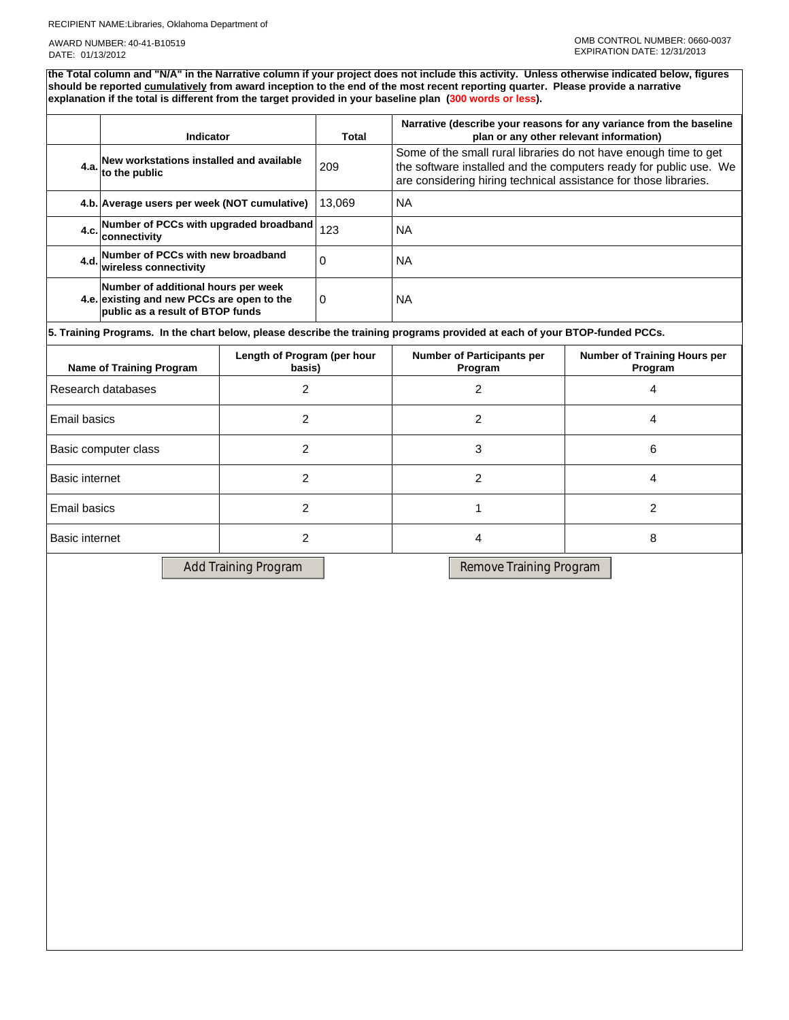## RECIPIENT NAME:Libraries, Oklahoma Department of

AWARD NUMBER: 40-41-B10519 DATE: 01/13/2012

**the Total column and "N/A" in the Narrative column if your project does not include this activity. Unless otherwise indicated below, figures should be reported cumulatively from award inception to the end of the most recent reporting quarter. Please provide a narrative explanation if the total is different from the target provided in your baseline plan (300 words or less).** 

|                                                                   | <b>Indicator</b>                                                                                                      |  | <b>Total</b>                                 | Narrative (describe your reasons for any variance from the baseline<br>plan or any other relevant information)                                                                                            |  |  |  |  |
|-------------------------------------------------------------------|-----------------------------------------------------------------------------------------------------------------------|--|----------------------------------------------|-----------------------------------------------------------------------------------------------------------------------------------------------------------------------------------------------------------|--|--|--|--|
|                                                                   | 4.a. New workstations installed and available<br>to the public                                                        |  | 209                                          | Some of the small rural libraries do not have enough time to get<br>the software installed and the computers ready for public use. We<br>are considering hiring technical assistance for those libraries. |  |  |  |  |
|                                                                   | 4.b. Average users per week (NOT cumulative)                                                                          |  | 13,069                                       | <b>NA</b>                                                                                                                                                                                                 |  |  |  |  |
|                                                                   | Number of PCCs with upgraded broadband<br>4.c.<br>connectivity                                                        |  | 123                                          | <b>NA</b>                                                                                                                                                                                                 |  |  |  |  |
| 4.d.                                                              | Number of PCCs with new broadband<br><b>wireless connectivity</b>                                                     |  | $\Omega$                                     | <b>NA</b>                                                                                                                                                                                                 |  |  |  |  |
|                                                                   | Number of additional hours per week<br>4.e. existing and new PCCs are open to the<br>public as a result of BTOP funds |  | 0                                            | <b>NA</b>                                                                                                                                                                                                 |  |  |  |  |
|                                                                   |                                                                                                                       |  |                                              | 5. Training Programs. In the chart below, please describe the training programs provided at each of your BTOP-funded PCCs.                                                                                |  |  |  |  |
| Length of Program (per hour<br>Name of Training Program<br>basis) |                                                                                                                       |  | <b>Number of Participants per</b><br>Program | <b>Number of Training Hours per</b><br>Program                                                                                                                                                            |  |  |  |  |
| 2<br>Research databases                                           |                                                                                                                       |  | $\overline{2}$<br>4                          |                                                                                                                                                                                                           |  |  |  |  |
| 2<br>Email basics                                                 |                                                                                                                       |  | $\overline{2}$<br>4                          |                                                                                                                                                                                                           |  |  |  |  |
| 2<br>Basic computer class                                         |                                                                                                                       |  | 3<br>6                                       |                                                                                                                                                                                                           |  |  |  |  |
| 2<br><b>Basic internet</b>                                        |                                                                                                                       |  | 2                                            | 4                                                                                                                                                                                                         |  |  |  |  |

| Basic internet |  |  |
|----------------|--|--|
| Email basics   |  |  |
| Basic internet |  |  |

Add Training Program Remove Training Program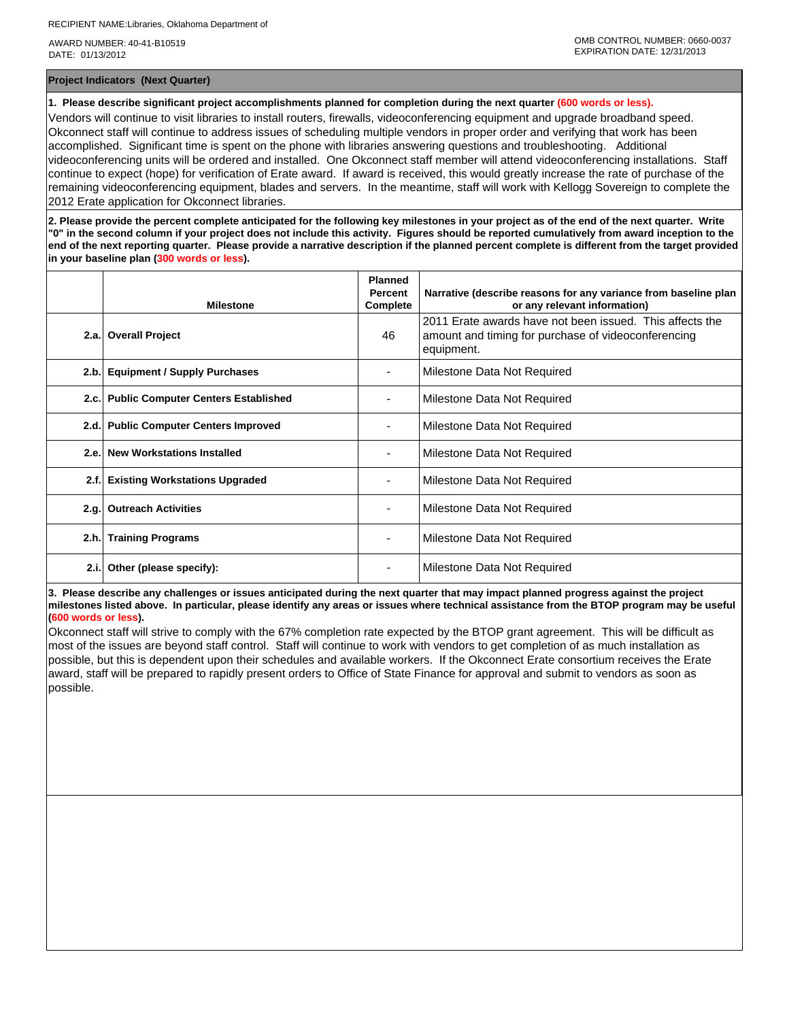AWARD NUMBER: 40-41-B10519 DATE: 01/13/2012

**Project Indicators (Next Quarter)**

**1. Please describe significant project accomplishments planned for completion during the next quarter (600 words or less).**

Vendors will continue to visit libraries to install routers, firewalls, videoconferencing equipment and upgrade broadband speed. Okconnect staff will continue to address issues of scheduling multiple vendors in proper order and verifying that work has been accomplished. Significant time is spent on the phone with libraries answering questions and troubleshooting. Additional videoconferencing units will be ordered and installed. One Okconnect staff member will attend videoconferencing installations. Staff continue to expect (hope) for verification of Erate award. If award is received, this would greatly increase the rate of purchase of the remaining videoconferencing equipment, blades and servers. In the meantime, staff will work with Kellogg Sovereign to complete the 2012 Erate application for Okconnect libraries.

**2. Please provide the percent complete anticipated for the following key milestones in your project as of the end of the next quarter. Write "0" in the second column if your project does not include this activity. Figures should be reported cumulatively from award inception to the end of the next reporting quarter. Please provide a narrative description if the planned percent complete is different from the target provided in your baseline plan (300 words or less).**

|      | <b>Milestone</b>                           | <b>Planned</b><br><b>Percent</b><br>Complete | Narrative (describe reasons for any variance from baseline plan<br>or any relevant information)                               |
|------|--------------------------------------------|----------------------------------------------|-------------------------------------------------------------------------------------------------------------------------------|
| 2.a. | <b>Overall Project</b>                     | 46                                           | 2011 Erate awards have not been issued. This affects the<br>amount and timing for purchase of videoconferencing<br>equipment. |
| 2.b. | <b>Equipment / Supply Purchases</b>        |                                              | Milestone Data Not Required                                                                                                   |
| 2.c. | <b>Public Computer Centers Established</b> |                                              | Milestone Data Not Required                                                                                                   |
| 2.d. | <b>Public Computer Centers Improved</b>    |                                              | Milestone Data Not Required                                                                                                   |
| 2.e. | <b>New Workstations Installed</b>          |                                              | Milestone Data Not Required                                                                                                   |
| 2.f. | <b>Existing Workstations Upgraded</b>      |                                              | Milestone Data Not Required                                                                                                   |
| 2.g. | <b>Outreach Activities</b>                 |                                              | Milestone Data Not Required                                                                                                   |
| 2.h. | <b>Training Programs</b>                   |                                              | Milestone Data Not Required                                                                                                   |
| 2.i. | Other (please specify):                    |                                              | Milestone Data Not Required                                                                                                   |

**3. Please describe any challenges or issues anticipated during the next quarter that may impact planned progress against the project milestones listed above. In particular, please identify any areas or issues where technical assistance from the BTOP program may be useful (600 words or less).**

Okconnect staff will strive to comply with the 67% completion rate expected by the BTOP grant agreement. This will be difficult as most of the issues are beyond staff control. Staff will continue to work with vendors to get completion of as much installation as possible, but this is dependent upon their schedules and available workers. If the Okconnect Erate consortium receives the Erate award, staff will be prepared to rapidly present orders to Office of State Finance for approval and submit to vendors as soon as possible.